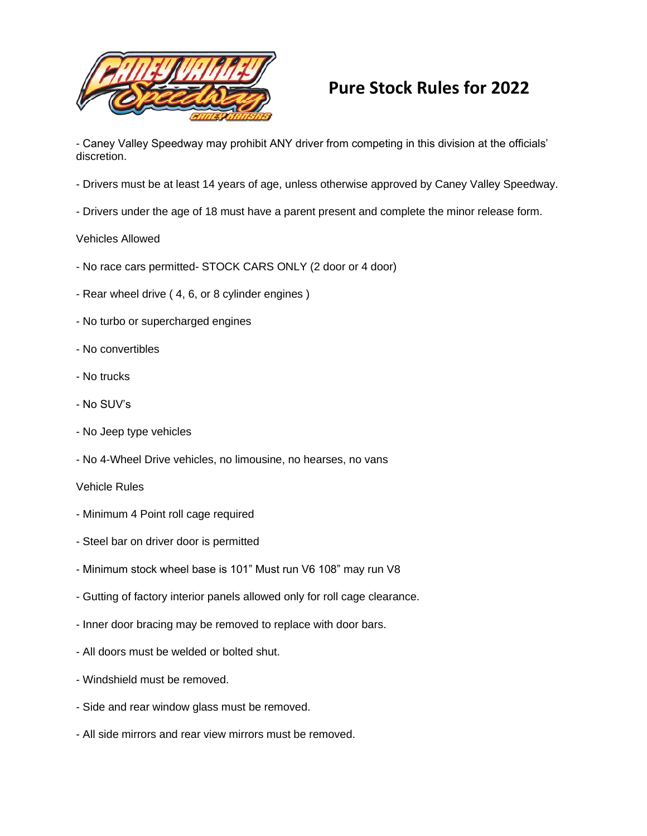

## **Pure Stock Rules for 2022**

- Caney Valley Speedway may prohibit ANY driver from competing in this division at the officials' discretion.

- Drivers must be at least 14 years of age, unless otherwise approved by Caney Valley Speedway.
- Drivers under the age of 18 must have a parent present and complete the minor release form.

## Vehicles Allowed

- No race cars permitted- STOCK CARS ONLY (2 door or 4 door)
- Rear wheel drive ( 4, 6, or 8 cylinder engines )
- No turbo or supercharged engines
- No convertibles
- No trucks
- No SUV's
- No Jeep type vehicles
- No 4-Wheel Drive vehicles, no limousine, no hearses, no vans
- Vehicle Rules
- Minimum 4 Point roll cage required
- Steel bar on driver door is permitted
- Minimum stock wheel base is 101" Must run V6 108" may run V8
- Gutting of factory interior panels allowed only for roll cage clearance.
- Inner door bracing may be removed to replace with door bars.
- All doors must be welded or bolted shut.
- Windshield must be removed.
- Side and rear window glass must be removed.
- All side mirrors and rear view mirrors must be removed.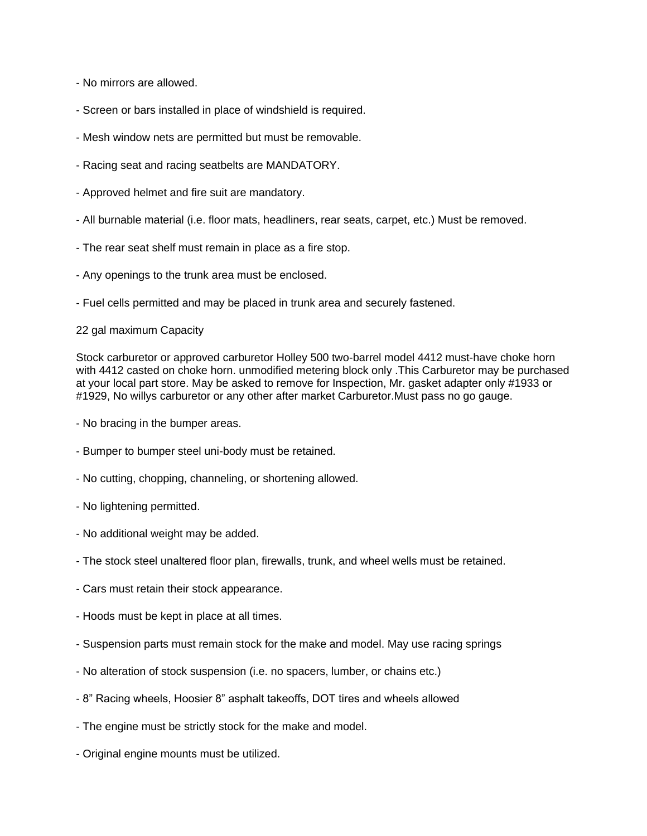- No mirrors are allowed.
- Screen or bars installed in place of windshield is required.
- Mesh window nets are permitted but must be removable.
- Racing seat and racing seatbelts are MANDATORY.
- Approved helmet and fire suit are mandatory.
- All burnable material (i.e. floor mats, headliners, rear seats, carpet, etc.) Must be removed.
- The rear seat shelf must remain in place as a fire stop.
- Any openings to the trunk area must be enclosed.
- Fuel cells permitted and may be placed in trunk area and securely fastened.

## 22 gal maximum Capacity

Stock carburetor or approved carburetor Holley 500 two-barrel model 4412 must-have choke horn with 4412 casted on choke horn. unmodified metering block only .This Carburetor may be purchased at your local part store. May be asked to remove for Inspection, Mr. gasket adapter only #1933 or #1929, No willys carburetor or any other after market Carburetor.Must pass no go gauge.

- No bracing in the bumper areas.
- Bumper to bumper steel uni-body must be retained.
- No cutting, chopping, channeling, or shortening allowed.
- No lightening permitted.
- No additional weight may be added.
- The stock steel unaltered floor plan, firewalls, trunk, and wheel wells must be retained.
- Cars must retain their stock appearance.
- Hoods must be kept in place at all times.
- Suspension parts must remain stock for the make and model. May use racing springs
- No alteration of stock suspension (i.e. no spacers, lumber, or chains etc.)
- 8" Racing wheels, Hoosier 8" asphalt takeoffs, DOT tires and wheels allowed
- The engine must be strictly stock for the make and model.
- Original engine mounts must be utilized.